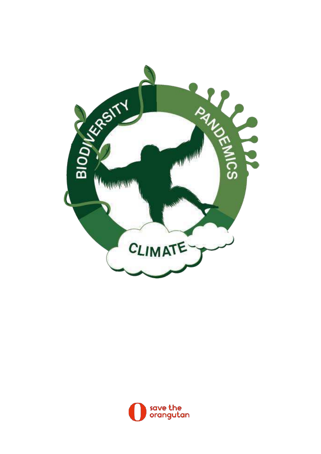

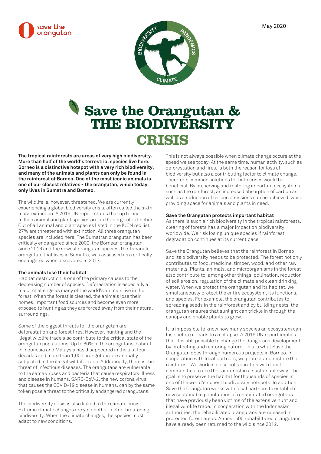



# **Save the Orangutan & THE BIODIVERSITY CRISIS**

**The tropical rainforests are areas of very high biodiversity. More than half of the world's terrestrial species live here. Borneo is a distinctive hotspot with a very rich biodiversity, and many of the animals and plants can only be found in the rainforest of Borneo. One of the most iconic animals is one of our closest relatives - the orangutan, which today only lives in Sumatra and Borneo.**

The wildlife is, however, threatened. We are currently experiencing a global biodiversity crisis, often called the sixth mass extinction. A 2019 UN report states that up to one million animal and plant species are on the verge of extinction. Out of all animal and plant species listed in the IUCN red list, 27% are threatened with extinction. All three orangutan species are included here. The Sumatran orangutan has been critically endangered since 2000, the Bornean orangutan since 2016 and the newest orangutan species, the Tapanuli orangutan, that lives in Sumatra, was assessed as a critically endangered when discovered in 2017.

## **The animals lose their habitat**

Habitat destruction is one of the primary causes to the decreasing number of species. Deforestation is especially a major challenge as many of the world's animals live in the forest. When the forest is cleared, the animals lose their homes, important food sources and become even more exposed to hunting as they are forced away from their natural surroundings.

Some of the biggest threats for the orangutan are deforestation and forest fires. However, hunting and the illegal wildlife trade also contribute to the critical state of the orangutan populations. Up to 80% of the orangutans' habitat in Indonesia and Malaysia has disappeared in the last four decades and more than 1,000 orangutans are annually subjected to the illegal wildlife trade. Additionally, there is the threat of infectious diseases. The orangutans are vulnerable to the same viruses and bacteria that cause respiratory illness and disease in humans. SARS-CoV-2, the new corona virus that causes the COVID-19 disease in humans, can by the same token pose a threat to the critically endangered orangutans.

The biodiversity crisis is also linked to the climate crisis. Extreme climate changes are yet another factor threatening biodiversity. When the climate changes, the species must adapt to new conditions.

This is not always possible when climate change occurs at the speed we see today. At the same time, human activity, such as deforestation and fires, is both the reason for loss of biodiversity but also a contributing factor to climate change. Therefore, common solutions for both crises would be beneficial. By preserving and restoring important ecosystems such as the rainforest, an increased absorption of carbon as well as a reduction of carbon emissions can be achieved, while providing space for animals and plants in need.

#### **Save the Orangutan protects important habitat**

As there is such a rich biodiversity in the tropical rainforests, clearing of forests has a major impact on biodiversity worldwide. We risk losing unique species if rainforest degradation continues at its current pace.

Save the Orangutan believes that the rainforest in Borneo and its biodiversity needs to be protected. The forest not only contributes to food, medicine, timber, wood, and other raw materials. Plants, animals, and microorganisms in the forest also contribute to, among other things, pollination, reduction of soil erosion, regulation of the climate and clean drinking water. When we protect the orangutan and its habitat, we simultaneously protect the entire ecosystem, its functions, and species. For example, the orangutan contributes to spreading seeds in the rainforest and by building nests, the orangutan ensures that sunlight can trickle in through the canopy and enable plants to grow.

It is impossible to know how many species an ecosystem can lose before it leads to a collapse. A 2019 UN report implies that it is still possible to change the dangerous development by protecting and restoring nature. This is what Save the Orangutan does through numerous projects in Borneo. In cooperation with local partners, we protect and restore the rainforest. We work in close collaboration with local communities to use the rainforest in a sustainable way. The goal is to preserve the habitat for thousands of species in one of the world's richest biodiversity hotspots. In addition, Save the Orangutan works with local partners to establish new sustainable populations of rehabilitated orangutans that have previously been victims of the extensive hunt and illegal wildlife trade. In cooperation with the Indonesian authorities, the rehabilitated orangutans are released in protected forest areas. Almost 500 rehabilitated orangutans have already been returned to the wild since 2012.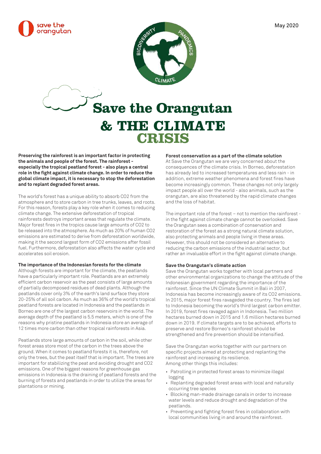



# **Save the Orangutan & THE CLIMATE CRISIS**

**Preserving the rainforest is an important factor in protecting the animals and people of the forest. The rainforest especially the tropical peatland forest - also plays a central role in the fight against climate change. In order to reduce the global climate impact, it is necessary to stop the deforestation and to replant degraded forest areas.**

The world's forest has a unique ability to absorb CO2 from the atmosphere and to store carbon in tree trunks, leaves, and roots. For this reason, forests play a key role when it comes to reducing climate change. The extensive deforestation of tropical rainforests destroys important areas that regulate the climate. Major forest fires in the tropics cause large amounts of CO2 to be released into the atmosphere. As much as 20% of human CO2 emissions are estimated to derive from deforestation worldwide, making it the second largest form of CO2 emissions after fossil fuel. Furthermore, deforestation also affects the water cycle and accelerates soil erosion.

#### **The importance of the Indonesian forests for the climate**

Although forests are important for the climate, the peatlands have a particularly important role. Peatlands are an extremely efficient carbon reservoir as the peat consists of large amounts of partially decomposed residues of dead plants. Although the peatlands cover only 3% of the earth's land surface they store 20-25% of all soil carbon. As much as 36% of the world's tropical peatland forests are located in Indonesia and the peatlands in Borneo are one of the largest carbon reservoirs in the world. The average depth of the peatland is 5.5 meters, which is one of the reasons why pristine peatlands in Indonesia store an average of 12 times more carbon than other tropical rainforests in Asia.

Peatlands store large amounts of carbon in the soil, while other forest areas store most of the carbon in the trees above the ground. When it comes to peatland forests it is, therefore, not only the trees, but the peat itself that is important. The trees are important for stabilizing the peat and avoiding drought and CO2 emissions. One of the biggest reasons for greenhouse gas emissions in Indonesia is the draining of peatland forests and the burning of forests and peatlands in order to utilize the areas for plantations or mining.

#### **Forest conservation as a part of the climate solution**

At Save the Orangutan we are very concerned about the consequences of the climate crisis. In Borneo, deforestation has already led to increased temperatures and less rain - in addition, extreme weather phenomena and forest fires have become increasingly common. These changes not only largely impact people all over the world - also animals, such as the orangutan, are also threatened by the rapid climate changes and the loss of habitat.

The important role of the forest – not to mention the rainforest in the fight against climate change cannot be overlooked. Save the Orangutan sees a combination of conservation and restoration of the forest as a strong natural climate solution, also protecting animals and people living in these areas. However, this should not be considered an alternative to reducing the carbon emissions of the industrial sector, but rather an invaluable effort in the fight against climate change.

## **Save the Orangutan's climate action**

Save the Orangutan works together with local partners and other environmental organizations to change the attitude of the Indonesian government regarding the importance of the rainforest. Since the UN Climate Summit in Bali in 2007, Indonesia has become increasingly aware of its CO2 emissions. In 2015, major forest fires ravageded the country. The fires led to Indonesia becoming the world's third largest carbon emitter. In 2019, forest fires ravaged again in Indonesia. Two million hectares burned down in 2015 and 1.6 million hectares burned down in 2019. If climate targets are to be achieved, efforts to preserve and restore Borneo's rainforest should be strengthened and fire prevention should be intensified.

Save the Orangutan works together with our partners on specific projects aimed at protecting and replanting the rainforest and increasing its resilience. Among other things this includes:

- Patrolling in protected forest areas to minimize illegal logging
- Replanting degraded forest areas with local and naturally occurring tree species
- Blocking man-made drainage canals in order to increase water levels and reduce drought and degradation of the peatlands.
- Preventing and fighting forest fires in collaboration with local communities living in and around the rainforest.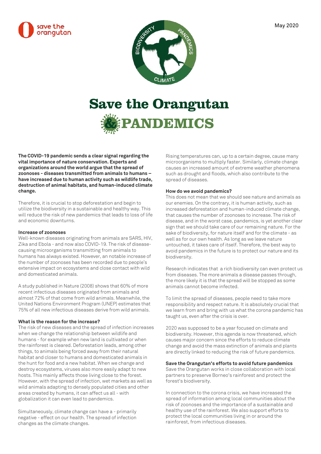



# **Save the Orangutan & PANDEMICS**

**The COVID-19 pandemic sends a clear signal regarding the vital importance of nature conservation. Experts and organizations around the world argue that the spread of zoonoses - diseases transmitted from animals to humans – have increased due to human activity such as wildlife trade, destruction of animal habitats, and human-induced climate change.**

Therefore, it is crucial to stop deforestation and begin to utilize the biodiversity in a sustainable and healthy way. This will reduce the risk of new pandemics that leads to loss of life and economic downturns.

# **Increase of zoonoses**

Well-known diseases originating from animals are SARS, HIV, Zika and Ebola - and now also COVID-19. The risk of diseasecausing microorganisms transmitting from animals to humans has always existed. However, an notable increase of the number of zoonoses has been recorded due to people's extensive impact on ecosystems and close contact with wild and domesticated animals.

A study published in Nature (2008) shows that 60% of more recent infectious diseases originated from animals and almost 72% of that come from wild animals. Meanwhile, the United Nations Environment Program (UNEP) estimates that 75% of all new infectious diseases derive from wild animals.

#### **What is the reason for the increase?**

The risk of new diseases and the spread of infection increases when we change the relationship between wildlife and humans - for example when new land is cultivated or when the rainforest is cleared. Deforestation leads, among other things, to animals being forced away from their natural habitat and closer to humans and domesticated animals in the hunt for food and a new habitat. When we change and destroy ecosystems, viruses also more easily adapt to new hosts. This mainly affects those living close to the forest. However, with the spread of infection, wet markets as well as wild animals adapting to densely populated cities and other areas created by humans, it can affect us all - with globalization it can even lead to pandemics.

Simultaneously, climate change can have a - primarily negative - effect on our health. The spread of infection changes as the climate changes.

Rising temperatures can, up to a certain degree, cause many microorganisms to multiply faster. Similarly, climate change causes an increased amount of extreme weather phenomena such as drought and floods, which also contribute to the spread of diseases.

## **How do we avoid pandemics?**

This does not mean that we should see nature and animals as our enemies. On the contrary, it is human activity, such as increased deforestation and human-induced climate change, that causes the number of zoonoses to increase. The risk of disease, and in the worst case, pandemics, is yet another clear sign that we should take care of our remaining nature. For the sake of biodiversity, for nature itself and for the climate - as well as for our own health. As long as we leave nature untouched, it takes care of itself. Therefore, the best way to avoid pandemics in the future is to protect our nature and its biodiversity.

Research indicates that a rich biodiversity can even protect us from diseases. The more animals a disease passes through, the more likely it is that the spread will be stopped as some animals cannot become infected.

To limit the spread of diseases, people need to take more responsibility and respect nature. It is absolutely crucial that we learn from and bring with us what the corona pandemic has taught us, even after the crisis is over.

2020 was supposed to be a year focused on climate and biodiversity. However, this agenda is now threatened, which causes major concern since the efforts to reduce climate change and avoid the mass extinction of animals and plants are directly linked to reducing the risk of future pandemics.

#### **Save the Orangutan's efforts to avoid future pandemics**

Save the Orangutan works in close collaboration with local partners to preserve Borneo's rainforest and protect the forest's biodiversity.

In connection to the corona crisis, we have increased the spread of information among local communities about the risk of zoonoses and the importance of a sustainable and healthy use of the rainforest. We also support efforts to protect the local communities living in or around the rainforest, from infectious diseases.